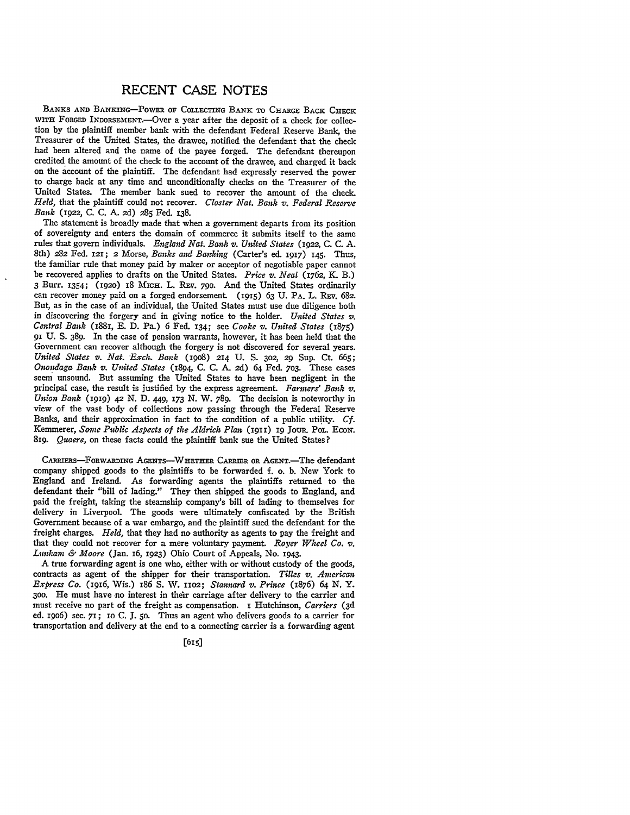## **RECENT CASE NOTES**

BANKS AND BANKING-POWER OF COLLECTING BANK TO CHARGE BACK CHECK WITH FORGED INDORSEMENT.—Over a year after the deposit of a check for collection by the plaintiff member bank with the defendant Federal Reserve Bank, the Treasurer of the United States, the drawee, notified the defendant that the check had been altered and the name of the payee forged. The defendant thereupon credited the amount of the check to the account of the drawee, and charged it back on the account of the plaintiff. The defendant had expressly reserved the power to charge back at any time and unconditionally checks on the Treasurer of the United States. The member bank sued to recover the amount of the check. *Held,* that the plaintiff could not recover. *Closter Nat. Bank v. Federal Reserve Bank* (1922, **C. C. A. 2d) 285** Fed. 138.

The statement is broadly made that when a government departs from its position of sovereignty and enters the domain of commerce it submits itself to the same rules that govern individuals. *England Nat. Bank v. United States* (1922, **C. C. A.** 8th) 282 Fed. **I21;** 2 Morse, *Banks and Banking* (Carter's ed. **1917)** 145. Thus, the familiar rule that money paid **by** maker or acceptor of negotiable paper cannot be recovered applies to drafts on the United States. *Price v. Neal* (1762, K. B.) **3** Burr. 1354; **(1Q2o)** 18 MIcH. L. REv. **790.** And the United States ordinarily can recover money paid on a forged endorsement (1915) **63 U.** PA. L. REv. **682.** But, as in the case of an individual, the United States must use due diligence both in discovering the forgery and in giving notice to the holder. *United States v. Central Bank* (1881, **E. D.** Pa.) **6** Fed. **134;** see *Cooke v. United States* (1875) 91 **U. S.** 389. In the case of pension warrants, however, it has been held that the Government can recover although the forgery is not discovered for several years. *United States v. Nat. Exch. Bank* **(198o) 214 U. S. 302,** *29* Sup. **Ct. 665;** *Onondaga Bank v. United States* (1894, **C. C. A. 2d)** 64 Fed. *7o3.* These cases seem unsound. But assuming the United States to have been negligent in the principal case, the result is justified by the express agreement. *Farmers' Bank v. Union Bank* **(1919)** 42 N. D. 449, **173** N. W. 789. The decision is noteworthy in view of the vast body of collections now passing through the Federal Reserve Banks, and their approximation in fact to the condition of a public utility. *Cf.* Kemmerer, *Some Public Aspects of the Aldrich Plan* (1911) **19** JoUR. POL. Ecow. *81g. Quaere,* on these facts could the plaintiff bank sue the United States?

CARRERS-FORwARDING **AGENTS-WHETHER CARRIER OR** AGENT.-The defendant company shipped goods to the plaintiffs to be forwarded **f.** o. **b.** New York to England and Ireland. As forwarding agents the plaintiffs returned to the defendant their "bill of lading." They then shipped the goods to England, and paid the freight, taking the steamship company's bill of lading to themselves for delivery in Liverpool. The goods were ultimately confiscated **by** the British Government because of a war embargo, and the plaintiff sued the defendant for the freight charges. *Held,* that they had no authority as agents to pay the freight and that they could not recover for a mere voluntary payment. *Royer Wheel Co. v. Lunlimm & Moore* (Jan. 16, **1923)** Ohio Court of Appeals, No. 1943.

**A** true forwarding agent is one who, either with or without custody of the goods, contracts as agent of the shipper for their transportation. *Tilles v. American Express Co.* **(I916,** Wis.) 186 **S.** W. **11o2;** *Stannard v. Prince* (1876) *64* **N.** Y. **30o.** He must have -no interest in their carriage after delivery to the carrier and must receive no part of the freight as compensation. **i** Hutchinson, *Carriers (3d* **ed.** 1906) sec. **71;** IO **C. 1.** 5o. Thus an agent who delivers goods to a carrier for transportation and delivery at the end to a connecting carrier is a forwarding agent

**[6151**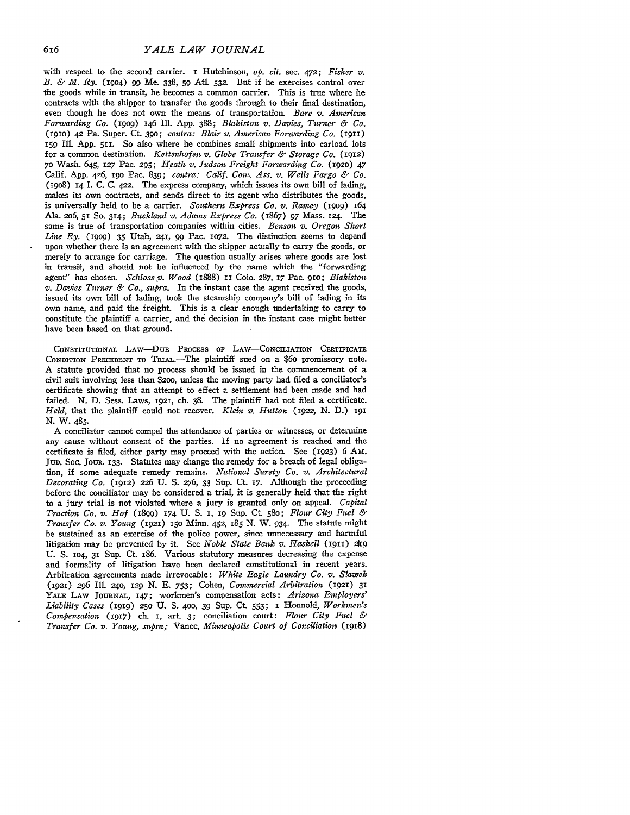with respect to the second carrier. I Hutchinson, *op. cit.* sec. *472; Fisher v. B. & M. Ry.* (1904) *99* Me. 338, **59** At. **532.** But if he exercises control over the goods while in transit, he becomes a common carrier. This is true where he contracts with the shipper to transfer the goods through to their final destination, even though he does not own the means of transportation. *Bare v. American Forwarding Co. (igog)* 146 Ill. **App.** 388; *Blakiston v. Davies, Turner & Co.* **(191o)** *42* Pa. Super. Ct. **390;** *contra: Blair v. American Forwarding Co.* **(1911)** 159 Ill. App. 511. So also where he combines small shipments into carload lots for a common destination. *Kettenhofen v. Globe Transfer & Storage Co.* (1912) **70** Wash. 645, *127* Pac. **295;** *Reath v. .Tudsoni Freight Forwarding Co.* (192o) 47 Calif. App. 426, **19o** Pac. 839; *contra: Calif. Com. Ass. v. Wells Fargo & Co.* **(198o)** *i4* I. C. C. 422. The express company, which issues its own bill of lading, makes its own contracts, and sends direct to its agent who distributes the goods, is universally held to be a carrier. *Southern Express Co. v. Ramey* (1909) 164 Ala. 2o6, *5I* **So.** 314; *Buckland v. Adains Express Co.* (1867) 97 Mass. 124. The same is true of transportation companies within cities. *Benson v. Oregon Short Line Ry.* (1909)  $35$  Utah,  $241$ ,  $99$  Pac. 1072. The distinction seems to depend upon whether there is an agreement with the shipper actually to carry the goods, or merely to arrange for carriage. The question usually arises where goods are lost in transit, and should not be influenced by the name which the "forwarding agent" has chosen. *Schloss p. Wood* (1888) **II Colo.** 287, 17 Pac. **91o;** *Blakistonr v. Davies Turner & Co., supra.* In the instant case the agent received the goods, issued its own bill of lading, took the steamship company's bill of lading in its own name, and paid the freight. This is a clear enough undertaking to carry to constitute the plaintiff a carrier, and the decision in the instant case might better have been based on that ground.

**CONSTITUTIONAL** LAw-DuE PROCESS **OF** LAw-CoNCI.IATION CERTIFICATE CONDITION **PRECEDENT TO** TRiAL.-The plaintiff sued on a \$6o promissory note. A statute provided that no process should be issued in the commencement of a civil suit involving less than \$2oo, unless the moving party had filed a conciliator's certificate showing that an attempt to effect a settlement had been made and had failed. N. D. Sess. Laws, 1921, ch. 38. The plaintiff had not filed a certificate. *Held,* that the plaintiff could not recover. *Klein v. Hutton (1922,* N. D.) 191 N. W. 485.

A conciliator cannot compel the attendance of parties or witnesses, or determine any cause without consent of the parties. If no agreement is reached and the certificate is filed, either party may proceed with the action. See (1923) 6 AM. Jun. Soc. JoUR. **133.** Statutes may change the remedy for a breach of legal obligation, if some adequate remedy remains. *National Surety Co. v. Architectural Decorating Co.* (1912) *226* **U.** S. 276, 33 Sup. Ct. 17. Although the proceeding before the conciliator may be considered a trial, it is generally held that the right to a jury trial is not violated where a jury is granted only on appeal. *Capital Traction Co. v. Hof* (1899) 174 U. S. *I,* **19 Sup.** Ct 580; *Flour City Fuel & Transfer Co. v. Young* (1921) **150** Minn. 452, 185 N. W. 934. The statute might be sustained as an exercise of the police power, since unnecessary and harmful litigation may be prevented by it. See *Noble State Bank v. Haskell* (1911) 2h9 U. **S. 104,** 31 Sup. Ct. 186. Various statutory measures decreasing the expense and formality of litigation have been declared constitutional in recent years. Arbitration agreements made irrevocable: *White Eagle Laundry Co. v. Slawek (1921) 296* Ill. **240,** *129* **N.** E. 753; Cohen, *Coummercial Arbitration* **(1921) 31 YALE** LAW **JOURNAL,** 147; workmen's compensation acts: *Arizona Employers' Liability Cases* **(1919) 250 U. S.** 400, 39 Sup. Ct. 553; *I* Honnold, *Workmen's Compensation* (1917) ch. *I,* art. 3; conciliation court: *Flour City Fuel & Transfer Co. v. Young, supra;* Vance, *Minneapolis Court of Coneiliation* (1918)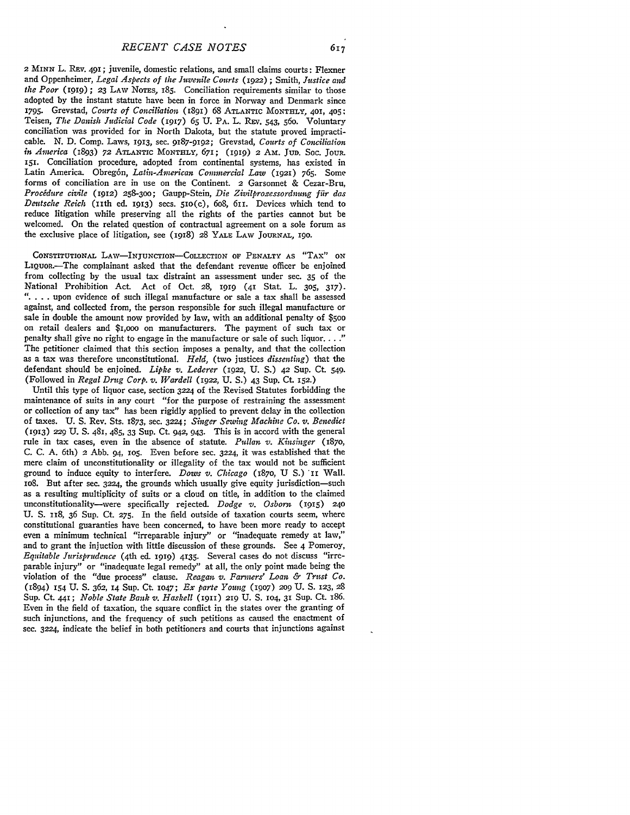2 *MINN* L. REv. 491; juvenile, domestic relations, and small claims courts: Flexner and Oppenheimer, *Legal Aspects of the Juvenile Courts (1922)* **;** Smith, *Justice and the Poor* **(1919) ; 23** LAw NOTES, 185. Conciliation requirements similar to those adopted **by** the instant statute have been in force in Norway and Denmark since 1795. Grevstad, *Courts of Conciliation* (1891) 68 ATLANTIC MONTHLY, 401, 405: Teisen, *The Danish Judicial Code* (1917) 65 U. PA. L. REV. 543, 560. Voluntary conciliation was provided for in North Dakota, but the statute proved impracticable. N. D. Comp. Laws, 1913, sec. 9187-9192; Grevstad, *Courts of Conciliation in Avterica* **(1893) 72 ATLANTIC MONTHLY,** 671; (IgIg) 2 **Am. JUD.** SoC. JouR. **151.** Conciliation procedure, adopted from continental systems, has existed in Latin America. Obregón, *Latin-American Commercial Law* (1921) 765. Some forms of conciliation are in use on the Continent. 2 Garsonnet & Cezar-Bru, *Procidure civile* **(1912)** 258-300; Gaupp-Stein, *Die Zivilprozessordnung fir das Deutsche Reich* (iith ed. 1913) secs. 5IO(c), 6o8, 611. Devices which tend to reduce litigation while preserving all the rights of the parties cannot but be welcomed. On the related question of contractual agreement on a sole forum as the exclusive place of litigation, see (1918) 28 YALE **LAW JOURNAL,** 190.

CONSTITuTIONAL **LAW-INJUNcTION-COLLECTION OF PENALTY AS** "TAx" **ON** LIQUOR.-The complainant asked that the defendant revenue officer be enjoined from collecting by the usual tax distraint an assessment under sec. 35 of the National Prohibition Act. Act of Oct. **28,** 1919 (41 Stat. L. **305,** 317). **" ....** upon evidence of such illegal manufacture or sale a tax shall be assessed against, and collected from, the person responsible for such illegal manufacture or sale in double the amount now provided by law, with an additional penalty of \$5o0 on retail dealers and \$i,oo on manufacturers. The payment of such tax or penalty shall give no right to engage in the manufacture or sale of such liquor **.. "** The petitioner claimed that this section imposes a penalty, and that the collection as a tax was therefore unconstitutional. *Held,* (two justices *dissenting)* that the defendant should be enjoined. *Lipke v. Lederer* (1922, U. **S.) 42** Sup. Ct. 549. (Followed in *Regal Drug Corp. v. Wardell* (1922, U. S.) 43 Sup. Ct. **152.)**

Until this type of liquor case, section 3224 of the Revised Statutes forbidding the maintenance of suits in any court "for the purpose of restraining the assessment or collection of any tax" has been rigidly applied to prevent delay in the collection of taxes. U. S. Rev. Sts. 1873, sec. **3224;** *Singer Sewing Machine Co. v. Benedict* **(1913) 229** U. **S.** 481, 485, **33** Sup. Ct. 942, 943. This is in accord with the general rule in tax cases, even in the absence of statute. *Pudlan v. Kinsinger (187o,* C. C. A. 6th) 2 Abb. 94, 1O5. Even before sec. 3224, it was established that the mere claim of unconstitutionality or illegality of the tax would not be sufficient ground to induce equity to interfere. *Dows v. Chicago* **(i87o, U S.) 'II** Wall. io8. But after sec. 3224, the grounds which usually give equity jurisdiction-such as a resulting multiplicity of suits or a cloud on title, in addition to the claimed unconstitutionality-were specifically rejected. *Dodge v. Osborit* **(1915) 240** U. S. 118, 36 Sup. Ct. **275.** In the field outside of taxation courts seem, where constitutional guaranties have been concerned, to have been more ready to accept even a minimum technical "irreparable injury" or "inadequate remedy at law," and to grant the injuction with little discussion of these grounds. See 4 Pomeroy, *Equitable Jurisprudence* (4th ed. **1919)** 4135. Several cases do not discuss "irreparable injury" or "inadequate legal remedy" at all, the only point made being the violation of the "due process" clause. *Reagan v. Farmers' Loan & Trust Co.* (894) **I54** U. **S.** 362, 14 Sup. Ct. **1047;** *Ex parte Young* **(1907) 209** U. **S. 123,** <sup>28</sup> Sup. Ct. 441; *Noble State Bank v. Haskell* (1911) 219 U. S. 104, 31 Sup. Ct. 186. Even in the field of taxation, the square conflict in the states over the granting of such injunctions, and the frequency of such petitions as caused the enactment of see. 3224, indicate the belief in both petitioners and courts that injunctions against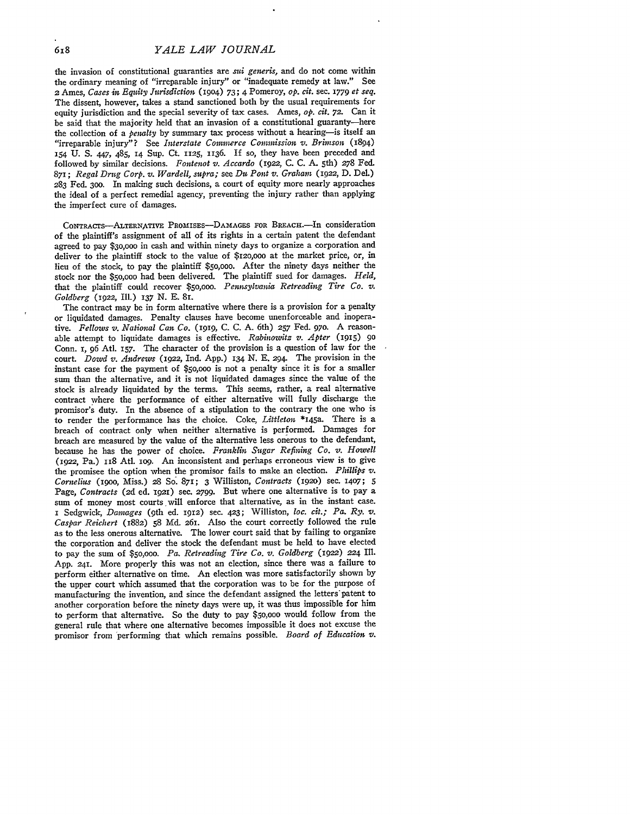the invasion of constitutional guaranties are *sud generis,* and do not come within the ordinary meaning of "irreparable injury" or "inadequate remedy at law." See **2** Ames, *Cases in Equity Jurisdiction* (1904) 73; 4 Pomeroy, *op. ct.* sec. 1779 *et seq.* The dissent, however, takes a stand sanctioned both by the usual requirements for equity jurisdiction and the special severity of tax cases. Ames, *op. cit. 72.* Can it be said that the majority held that an invasion of a constitutional guaranty-here the collection of a *penalty* by summary tax process without a hearing-is itself an "irreparable injury"? See *Interstate Conwinerce Commission v. Brimson* (1894) **154 U. S.** 447, 485, **14** Sup. Ct. **1125, 1136.** If so, they have been preceded and followed by similar decisions. Fontenot v. Accardo (1922, C. C. A. 5th) 278 Fed. 871; *Regal Drug Corp. v. Wardell, supra;* see *Dut Pont v. Graham* (1922, **D.** Del.) **283** Fed. **300.** In making such decisions, a court of equity more nearly approaches the ideal of a perfect remedial agency, preventing the injury rather than applying the imperfect cure of damages.

CONTRACTS-ALTERNATIVE PROMISES-DAMAGES FOR BREACH.-In consideration of the plaintiff's assignment of all of its rights in a certain patent the defendant agreed to pay **\$30,000** in cash and within ninety days to organize a corporation and deliver to the plaintiff stock to the value **of \$120,ooo** at the market price, or, in lieu of the stock, to pay the plaintiff \$5o,ooo. After the ninety days neither the stock nor the \$5o,ooo had been delivered. The plaintiff sued for damages. *Held,* that the plaintiff could recover **\$50,0oo.** *Pennsylvania Retreading Tire Co. v. Goldberg* (1922, Ill.) **137 N. E.** SI.

The contract may be in form alternative where there is a provision for a penalty or liquidated damages. Penalty clauses have become unenforceable and inoperative. *Fellows v. National Can Co. (1919,* **C. C. A.** 6th) *257* Fed. **97o. A** reasonable attempt to liquidate damages is effective. Rabinowitz v. Apter (1915) 90 Conn. 1, **96** Atl. **157.** The character of the provision is a question of law for the court. *Dowd v. Andrews* (1922, Ind. **App.) 134 N. E. 294.** The provision in the instant case for the payment of **\$5oooo** is not a penalty since it is for a smaller sum than the alternative, and it is not liquidated damages since the value of the stock is already liquidated **by** the terms. This seems, rather, a real alternative contract where the performance of either alternative will fully discharge the promisor's duty. In the absence of a stipulation to the contrary the one who is to render the performance has the choice. Coke, *Littleton* **\*145a.** There is a breach of contract only when neither alternative is performed. Damages for breach are measured **by** the value of the alternative less onerous to the defendant, because he has the power of choice. *Franklin Sugar Refining Co. v. Howell* **(1922,** Pa.) i18 Atl. iog. An inconsistent and perhaps erroneous view is to give the promisee the option when the promisor fails to make an election. *Phillips v. Cornelius* (I9oo, Miss.) **28 So'.** 871; 3 Williston, *Contracts* (1920) sec. **1407;** 5 Page, *Contracts* (2d ed. 1921) sec. 2799. But where one alternative is to pay a sum of money most courts will enforce that alternative, as in the instant case. *<sup>i</sup>*Sedgwick, *Damages* (9th ed. **1912)** sec. 423; Williston, *loc. cit.; Pa. Ry. v. Caspar Reichert* **(1882) 58** Md. **261.** Also the court correctly followed the rule as to the less onerous alternative. The lower court said that **by** failing to organize the corporation and deliver the stock the defendant must be held to have elected to pay the sum **of** *\$50,000. Pa. Retreading Tire Co. v. Goldberg* **(1922)** *224* **Ill. App. 241.** More properly this was not an election, since there was a failure to perform either alternative on time. An election was more satisfactorily shown **by** the upper court which assumed that the corporation was to be for the purpose of manufacturing the invention, and since the defendant assigned the letters'patent to another corporation before the ninety days were up, it was thus impossible for him to perform that alternative. So the duty to pay **\$50,000** would follow from the general rule that where one alternative becomes impossible it does not excuse the promisor from 'performing that which remains possible. *Board of Education v.*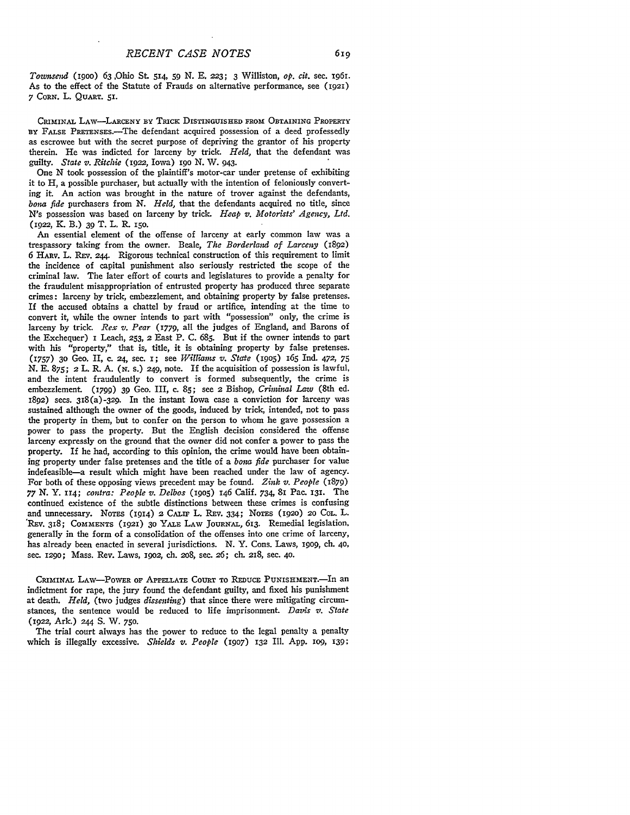*Townsend* (igoo) 63 Ohio St. 514, **59** N. E, **223; 3** Williston, *op. cit.* sec. *i96I.* As to the effect of the Statute of Frauds on alternative performance, see **(1921) 7 CORN.** L. **QUART. 51.**

CRIMINAL LAw-LARCENY BY **TRICK** DISTINGUISHED **FROM OBTAINING** PROPERTY **BY** FALSE PRETENsEs.-The defendant acquired possession of a deed professedly as escrowee but with the secret purpose of depriving the grantor of his property therein. He was indicted for larceny by trick. *Held,* that the defendant was guilty. *State v. Ritchie* (1922, Iowa) **19o** N. W. 943.

One N took possession of the plaintiff's motor-car under pretense of exhibiting it to H, a possible purchaser, but actually with the intention of feloniously converting it. An action was brought in the nature of trover against the defendants, *bona fide* purchasers from **N.** *Held,* that the defendants acquired no title, since N's possession was based on larceny by trick. *Heap v. Motorists' Agency, Ltd.* (1922, K. B.) 39 T. L. R. **150.**

**An** essential element of the offense of larceny at early common law was a trespassory taking from the owner. Beale, *The Borderland of Larceny* (1892) **6 HARv.** L. **REV. 244.** Rigorous technical construction of this requirement to limit the incidence of capital punishment also seriously restricted the scope of the criminal law. The later effort of courts and legislatures to provide a penalty for the fraudulent misappropriation of entrusted property has produced three separate crimes: larceny **by** trick, embezzlement, and obtaining property **by** false pretenses. **If** the accused obtains a chattel **by** fraud or artifice, intending at the time to convert it, while the owner intends to part with "possession" only, the crime is larceny **by** trick. *Rex v. Pear* **(I779,** all the judges of England, and Barons of the Exchequer) i Leach, **253,** 2 East P. **C. 685.** But if the owner intends to part with his "property," that is, title, it is obtaining property **by** false pretenses. (1757) **30** Geo. II, c. **24,** sec. I; see *Williants v. State* (19o5) 165 Ind. 472, **75** N. E. 875; 2 L. R. **A. (N.** S.) *249,* note. If the acquisition of possession is lawful, and the intent fraudulently to convert is formed subsequently, the crime is embezzlement. **(I799) 39** Geo. III, c. **85;** see 2 Bishop, *Criminal Law* (8th ed. **1892)** secs. 318(a)-329. In the instant Iowa case a conviction for larceny was sustained although the owner of the goods, induced by trick, intended, not to pass the property in them, but to confer on the person to whom he gave possession a power to pass the property. But the English decision considered the offense larceny expressly on the ground that the owner did not confer a power to pass the property. If he had, according to this opinion, the crime would have been obtaining property under false pretenses and the title of a *bona fide* purchaser for value indefeasible-a result which might have been reached under the law of agency. For both of these opposing views precedent may be found. *Zink v. People* (1879) *77 N.* Y. ir4; *contra: People v. Delbos* (i9o5) 146 Calif. 734, 81 Pac. 131. The continued existence of the subtle distinctions between these crimes is confusing and unnecessary. NOTES (1914) 2 CALIF L. REv. 334; NoTEs **(1920) 20 COL.** L. REv. 318; **COMMENTS (92) 30** YALE LAW **JouRNAL,** 613. Remedial legislation, generally in the form of a consolidation of the offenses into one crime of larceny, has already been enacted in several jurisdictions. **N.** Y. Cons. Laws, **19o9,** ch. **40,** sec. 1290; Mass. Rev. Laws, **I9O2, ch.** 2o8, sec. *26;* **ch.** 218, sec. **40.**

CRIMINAL LAW-POWER OF **APPELLATE** COURT TO **REDUCE** PUNISHMENT.-In an indictment for rape, the jury found the defendant guilty, and fixed his punishment at death. *Held,* (two judges *dissenting)* that since there were mitigating circumstances, the sentence would be reduced to life imprisonment. *Davis v. State* (1922, Ark.) **244 S.** W. **750.**

The trial court always has the power to reduce to the legal penalty a penalty which is illegally excessive. *Shields v. People* **(1907) 132** Ill. **App. lOg, 139:**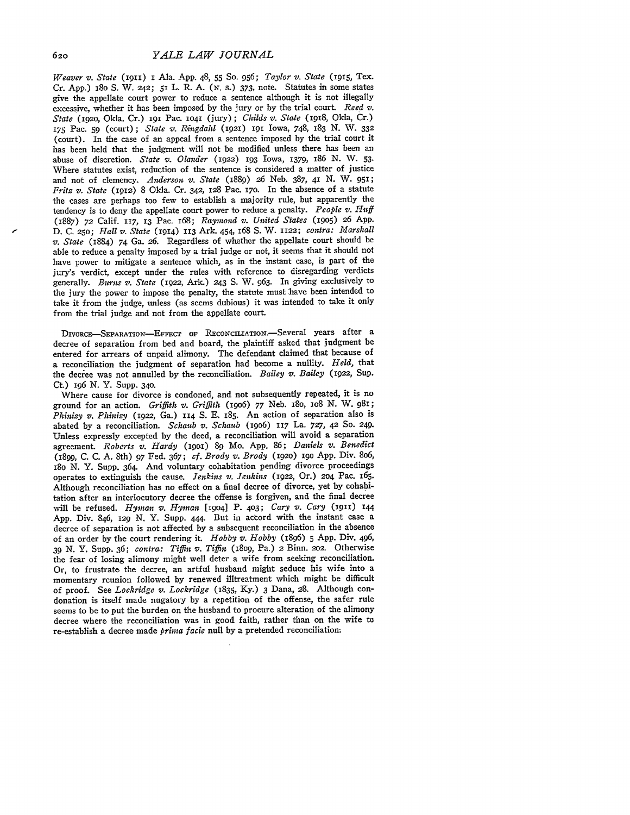*Weaver v. State* **(II)** *I* Ala. App. 48, **55** So. *956; Taylor v. State* (915, Tex. Cr. App.) 18o S. W. *242;* 51 L. R. A. *(N.* s.) 373, note. Statutes in some states give the appellate court power to reduce a sentence although it is not illegally excessive, whether it has been imposed by the jury or by the trial court. *Reed v. State* (192o, Okla. Cr.) 191 Pac. **1041** (jury) ; *Childs v. State* (1918, Okla, Cr.) **175** Pac. **59** (court); *State v. Ringdahl* **(1921)** 191 Iowa, 748, 183 **N.** W. **332** (court). In the case of an appeal from a sentence imposed by the trial court it has been held that the judgment will not be modified unless there has been an abuse of discretion. *State v. Olander* (1922) **193** Iowa, 1379, 186 N. W. **53.** Where statutes exist, reduction of the sentence is considered a matter of justice and not of clemency. *Anderson v. State* (1889) 26 Neb. 387, 41 **N.** W. 951; *Fritz v. State* (1912) 8 Okla. Cr. 342, 128 Pac. **170.** In the absence of a statute the cases are perhaps too few to establish a majority rule, but apparently the tendency is to deny the appellate court power to reduce a penalty. *People v. Huff* (1887) *72* Calif. 117, **13** Pac. 168; *Raynmond v. United States* **(1905) 26** App. D. C. **250;** *Hall v. State* (1914) 113 Ark. 454, 68 S. W. **1122;** *contra: Marshall v. State* (1884) 74 Ga. *26.* Regardless of whether the appellate court should be able to reduce a penalty imposed by a trial judge or not, it seems that it should not have power to mitigate a sentence which, as in the instant case, is part of the jury's verdict, except under the rules with reference to disregarding verdicts generally. *Burns v. State* (1922, Ark.) 243 **S.** W. 963. In giving exclusively to the jury the power to impose the penalty, the statute must have been intended to take it from the judge, unless (as seems dubious) it was intended to take it only from the trial judge and not from the appellate court.

DIVORCE-SEPARATION-EFFECT OF RECONCILIATION.-Several years after a decree of separation from bed and board, the plaintiff asked that judgment be entered for arrears of unpaid alimony. The defendant claimed that because of a reconciliation the judgment of separation had become a nullity. *Held,* that the decree was not annulled by the reconciliation. *Bailey v. Bailey* (1922, Sup. Ct) 196 N. Y. Supp. 340.

Where cause for divorce is condoned, and not subsequently repeated, it is no ground for an action. *Griffith v. Griffith* (19o6) 77 Neb. i8o, io8 N. W. 981; *Phinizy v. Phinizy* (1922, Ga.) 114 **S. E. 185.** An action of separation also is abated by a reconciliation. *Schaub v. Schaub* (19o6) 117 La. *727, 42* So. 249. Unless expressly excepted by the deed, a reconciliation will avoid a separation agreement. *Roberts v. Hardy* **(19O1) 89** Mo. App. 86; *Daniels v. Benedict* (1899, C. C. A. 8th) 97 Fed. 367; *cf. Brody v. Brody* **(192o) i9o** App. Div. 8o6, 18o N. Y. Supp. 364. And voluntary cohabitation pending divorce proceedings operates to extinguish the cause. *Jenkins v. Jenkins* (1922, Or.) 204 Pac. 165. Although reconciliation has no effect on a final decree of divorce, yet by cohabitation after an interlocutory decree the offense is forgiven, and the final decree will be refused. *Hyman v. Hyman* [19o4] P. **403;** *Cary v. Cary* (1911) **<sup>144</sup>** App. Div. 846, 129 N. Y. Supp. 444. But in accord with the instant case a decree of separation is not affected by a subsequent reconciliation in the absence of an order by the court rendering it. *Hobby v. Hobby (1896)* 5 App. Div. 496, *39* N. Y. Supp. 36; *contra: Tiffin v. Tiffin* (18o9, Pa.) **2** Binn. *202.* Otherwise the fear of losing alimony might well deter a wife from seeking reconciliation. Or, to frustrate the decree, an artful husband might seduce his wife into a momentary reunion followed by renewed illtreatment which might be difficult of proof. See *Lockridge v. Lockridge* (1835, Ky.) 3 Dana, 28. Although condonation is itself made nugatory by a repetition of the offense, the safer rule seems to be to put the burden on the husband to procure alteration of the alimony decree where the reconciliation was in good faith, rather than on the wife to re-establish a decree made *prima facie* null by a pretended reconciliation;

620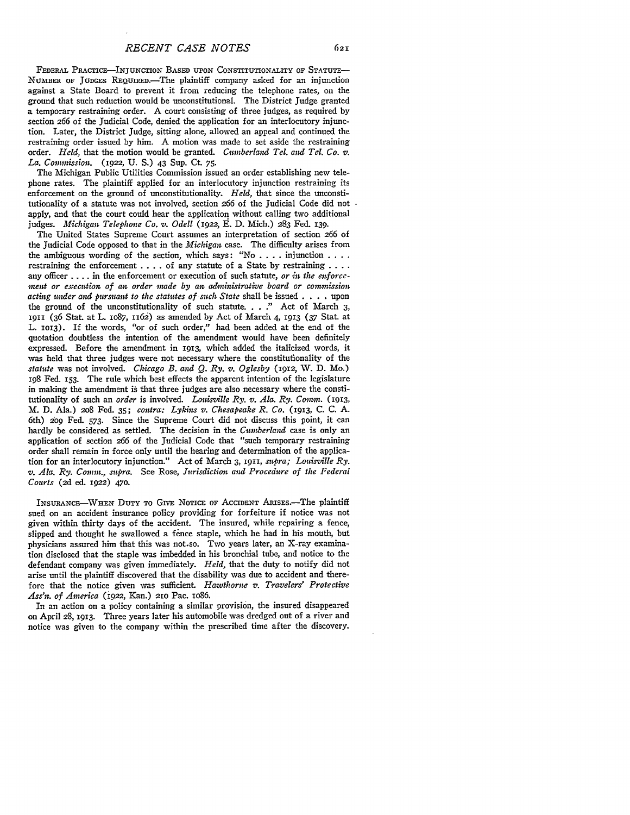FEDERAL PRAcTIcE-INJuNcrIoN BASED **UPON** CONSTITUTIONALITY OF STATUTE-NUMBER OF JUDGES REQUIRED.-The plaintiff company asked for an injunction against a State Board to prevent it from reducing the telephone rates, on the ground that such reduction would be unconstitutional. The District Judge granted a temporary restraining order. A court consisting of three judges, as required **by** section 266 of the Judicial Code, denied the application for an interlocutory injunction. Later, the District Judge, sitting alone, allowed an appeal and continued the restraining order issued by him. A motion was made to set aside the restraining order. *Held,* that the motion would be granted. *Cumberland Tel. and Tel. Co. v. La. Commission.* (1922, **U.** S.) 43 Sup. **Ct.** 75.

The Michigan Public Utilities Commission issued an order establishing new telephone rates. The plaintiff applied for an interlocutory injunction restraining its enforcement on the ground of unconstitutionality. *Held,* that since the unconstitutionality of a statute was not involved, section *266* of the Judicial Code did not apply, and that the court could hear the application without calling two additional judges. *Michigan Telephone Co. v. Odell* (1922, E. D. Mich.) 283 Fed. 139.

The United States Supreme Court assumes an interpretation of section 266 of the Judicial Code opposed to that in the *Michigan* case. The difficulty arises from the ambiguous wording of the section, which says: "No . **. .** . injunction **....** restraining the enforcement . . . . of any statute of a State by restraining . . . . any officer .... in the enforcement or execution of such statute, *or in the enforce*ment or execution of an order made by an administrative board or commission *acting under and pursuant to the statutes of such State* shall be issued . **. .** . upon the ground of the unconstitutionality of such statute. . . **."** Act of March 3, 1911 (36 Stat. at L. lo87, 1162) as amended by Act of March 4, 1913 (37 Stat. at L. 1013). If the words, "or of such order," had been added at the end of the quotation doubtless the intention of the amendment would have been definitely expressed. Before the amendment in 1913, which added the italicized words, it was held that three judges were not necessary where the constitutionality of the *statute* was not involved. *Chicago B. and Q. Ry. v. Oglesby* (1912, W. D. Mo.) 198 Fed. 153. The rule which best effects the apparent intention of the legislature in making the amendment is that three judges are also necessary where the constitutionality of such an *order* is involved. *Louisville Ry. v. Ala. Ry. Comm.* (1913, M. D. Ala.) 208 Fed. 35; *contrai: Lykins v. Chesapeake R. Co.* (1913, C. C. A. 6th) *209* Fed. 573. Since the Supreme Court did not discuss this point, it can hardly be considered as settled. The decision in the *Cumberland* case is only an application of section *266* of the Judicial Code that "such temporary restraining order shall remain in force only until the hearing and determination of the application for an interlocutory injunction." Act of March 3, 1911, *supra; Louisville Ry. v. Ala. Ry. Comm., supra.* See Rose, *Jurisdiction and Procedure of the Federal Courts (2d* ed. 1922) 470.

INSURANCE-WHEN DUTY TO GIVE NOTICE OF ACCIDENT ARISES.-The plaintiff sued on an accident insurance policy providing for forfeiture if notice was not given within thirty days of the accident. The insured, while repairing a fence, slipped and thought he swallowed a fence staple, which he had in his mouth, but physicians assured him that this was not.so. Two years later, an X-ray examination disclosed that the staple was imbedded in his bronchial tube, and notice to the defendant company was given immediately. *Held,* that the duty to notify did not arise until the plaintiff discovered that the disability was due to accident and therefore that the notice given was sufficient *Hawthorne v. Travelers' Protective Ass'n. of America* (1922, Kan.) 21o Pac. io86.

In an action on a policy containing a similar provision, the insured disappeared on April **28,** 1913. Three years later his automobile was dredged out of a river and notice was given to the company within the prescribed time after the discovery.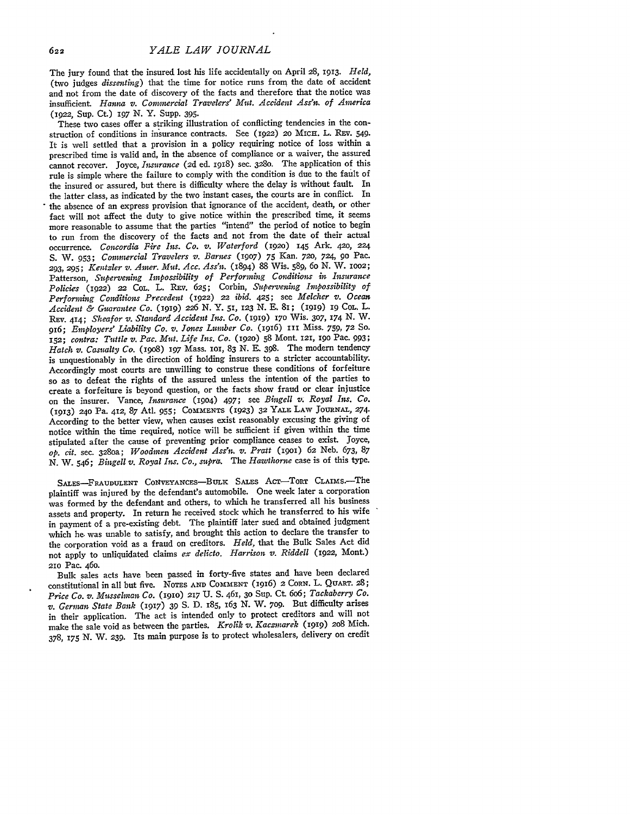The jury found that the insured lost his life accidentally on April 28, 1913. *Held,* (two judges *dissenting)* that the time for notice runs from the date of accident and not from the date of discovery of the facts and therefore that the notice was insufficient. *Hanna v. Conwercial Travelers' Mit. Accident Ass'n. of America* **(1922,** Sup. **Ct.)** 197 *N.* Y. Supp. 395.

These two cases offer a striking illustration of conflicting tendencies in the construction of conditions in insurance contracts. See (1922) **2o** MIcE. L. REv. 549. It is well settled that a provision in a policy requiring notice of loss within a prescribed time is valid and, in the absence of compliance or a waiver, the assured cannot recover. Joyce, *Imsurance* (2d ed. 1918) sec. **3280.** The application of this rule is simple where the failure to comply with the condition is due to the fault of the insured or assured, but there is difficulty where the delay is without fault. In the latter class, as indicated **by** the two instant cases, the courts are in conflict. In the absence of an express provision that ignorance of the accident, death, or other fact will not affect the duty to give notice within the prescribed time, it seems more reasonable to assume that the parties "intend" the period of notice to begin to run from the discovery of the facts and not from the date of their actual occurrence. *Concordia Fire Ins. Co. v. Waterford* (1920) **145** Ark. **420, 224 S.** W. 953; *Conwrcial Travelers v. Barnes* **(1907)** 75 Kan. **720,** 724, **90** Pac. **293, 295;** *Kentzler v. Amer. Mitt. Acc. Ass'n.* (1894) **88** Wis. 589, 6o *N.* W. **1OO2;** Patterson, *Supervening Impossibility of Performing Conditions in Insurance Policies* (1922) 22 CoL. L. REV. 625; Corbin, *Supervening Impossibility of Performing Conditions Precedent* (1922) 22 *ibid.* 425; see *Melcher v. Ocean Accident & Guarantee Co.* **(1919) 226** N. Y. **51, 123** N. E. 81; **(1919)** ig Col.. L. REv. 414; *Sheafor v. Standard Accident Ins. Co.* **(1919) 170** Wis. **307,** 174 N. W. *916; Employers' Liability Co. v. Jones Lumber Co.* (1916) 111 Miss. 759, **72** So. **152;** *contra: Tuttle v. Pac. Mitt. Life Ins. Co.* (1920) **58** Mont. 121, **i9o** Pac. 993; *Hatch v. Casualty Co.* (19o8) *197* Mass. **101,** 83 N. E. 398. The modern tendency is unquestionably in the direction of holding insurers to a stricter accountability. Accordingly most courts are unwilling to construe these conditions of forfeiture so as to defeat the rights of the assured unless the intention **of** the parties to create a forfeiture is beyond question, or the facts show fraud or clear injustice on the insurer. Vance, *Insurance* (1904) 497; see *Bingell v. Royal Ins. Co.* (1913) 24o Pa. 412, 87 Atl. 955; **COMMENTS** (1923) **32** YALX, LAv **JOuRNAL,** 274. According to the better view, when causes exist reasonably excusing the giving of notice within the time required, notice will be sufficient if given within the time stipulated after the cause of preventing prior compliance ceases to exist. Joyce, *op. cit.* sec. 328oa; *Woodmen Accident Ass'n. v. Pratt* **(19O1)** 62 Neb. 673, 87 N. W. 546; *Bingell v. Royal Ins. Co., supra.* The *Hawthorne* case is of this type.

SALES-FRAUDULENT CONVEYANCES-BULK SALES ACT-TORT CLAIMS.-The plaintiff was injured by the defendant's automobile. One week later a corporation was formed by the defendant and others, to which he transferred all his business assets and property. In return he received stock which he transferred to his wife in payment of a pre-existing debt. The plaintiff later sued and obtained judgment which he. was unable to satisfy, and brought this action to declare the transfer to the corporation void as a fraud on creditors. *Held,* that the Bulk Sales Act did not apply to unliquidated claims *ex delicto. Harrison v. Riddell* (1922, Mont.) **210** Pac. 46o.

Bulk sales acts have been passed in forty-five states and have been declared constitutional in all but five. NoTEs **AND COMMENT** (1916) 2 **CORN.** L. **QUART. 28;** *Price Co. v. Misselman Co.* (1910) **217 U. S.** 461, **30** Sup. Ct 6o6; *Tackaberry Co. v. Gernan State Bank* (1917) **39 S. D.** 185, 163 **N.** W. **709.** But difficulty arises in their application. The act is intended only to protect creditors and will not make the sale void as between the parties. *Krolik v. Kaczmarek* **(1919)** 2o8 Mich. 378, *175* **N.** W. **239.** Its main purpose is to protect wholesalers, delivery on credit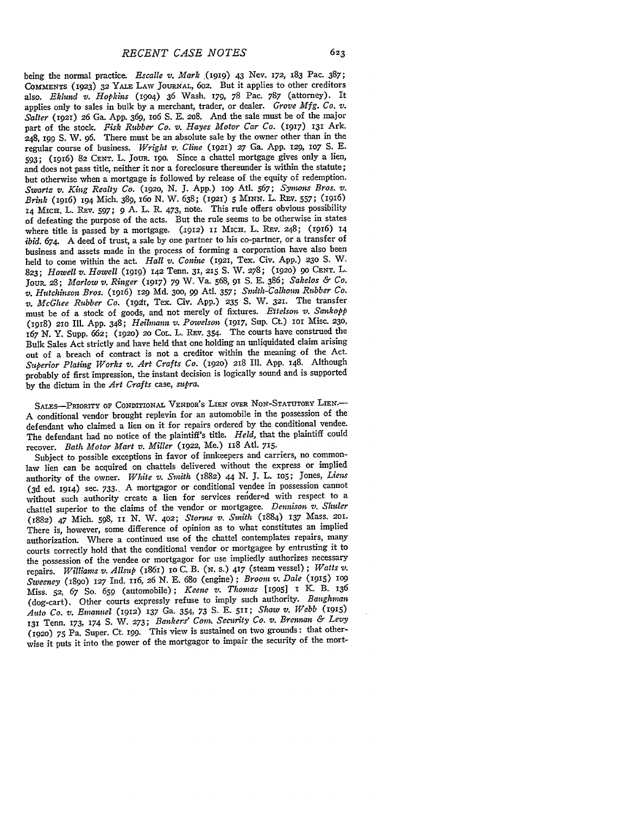being the normal practice. *Escalle v. Mark* ,(1919) 43 Nev. *172,* 183 Pac. **387; COMMENTS** (1923) *32* **YALE** LAW JOURNAL, **602.** But it applies to other creditors also. *Eklund v. Hopkins* (1904) 36 Wash. 179, 78 Pac. 787 (attorney). It applies only to sales in bulk by a merchant, trader, or dealer. *Grove Mfg. Co. v. Salter* (1921) **26** Ga. App. 369, io6 S. E. **208.** And the sale must be of the major part of the stock. *Fisk Rubber Co. v. Hayes Motor Car Co.* (1917) **131** Ark. 248, **I99** S. W. **96.** There must be an absolute sale by the owner other than in the regular course of business. *Wright v. Cline* **(1921) 27** Ga. App. **129,** lO7 S. **E.** 593; (I916) 82 **CENT.** L. JouR. **19o.** Since a chattel mortgage gives only a lien, and does not pass title, neither it nor a foreclosure thereunder is within the statute; but otherwise when a mortgage is followed by release of the equity of redemption. *Swartz v. King Realty Co.* **(192o, N. J.** App.) **lO9** Atl. 567; *Symws Bros. v. Brink* (196) 194 Mich. 389, 16o **N.** W. 638; (1921) *5* MINN. L. REV. 557; (1916) 14 MIcH. L. REV. 597; **9** A. L. P. 473, note. This rule offers obvious possibility of defeating the purpose of the acts. But the rule seems to be otherwise in states where title is passed by a mortgage. (1912) II MICH. L. REV. 248; (1916) 14 *ibid. 674.* **A** deed of trust, a sale by one partner to his co-partner, or a transfer of business and assets made in the process of forming a corporation have also been held to come within the act. *Hall v. Conhie* (1921, Tex. Civ. App.) **230 S.** W. 823; *Howell v. Howell* **(1919) 142** Tenn. 31, 215 **S.** W. 278; **(1920) 90 CENT.** L. JouR. 28; *Marlow v. Ringer* **(1917)** 79 W. Va. 568, 91 S. **E.** 386; *Sakelos & Co. v. Hutchinson Bros.* (1916) 129 Md. **300,** 99 Atl. 357; *Smith-'Calhoun Rubber Co. v. McGhee Rubber Co.* **(i9t,** Tex. Civ. App.) **235 S.** W. 3zI. The transfer must be of a stock of goods, and not merely of fixtures. *Ettelson v. Sankopp* (1918) **210** Ill. App. 348; *Heilmauan v. Powelson* (1917, Sup. Ct.) **1o** Misc. **230,** 167 N. Y. Supp. 662; (1920) *2o* COL. L. Ray. 354. The courts have construed the Bulk Sales Act strictly and have held that one holding an unliquidated claim arising out of a breach of contract is not a creditor within the meaning of the Act. *Superior Plating Works v. Art Crafts Co.* (1920) **218** Ill. App. 148. Although probably of first impression, the instant decision is logically sound and is supported by the dictum in the *Art Crafts* case, *supra.*

SALES-PRIORITY OF CONDITIONAL VENDOR'S LIEN OVER NON-STATUTORY LIEN. A conditional vendor brought replevin for an automobile in the possession of the defendant who claimed a lien on it for repairs ordered by the conditional vendee. The defendant had no notice of the plaintiff's title. *Held,* that the plaintiff could recover. *Bath Motor Mart v. Miller* (1922, Me.) 118 Atl. 715.

Subject to possible exceptions in favor of innkeepers and carriers, no commonlaw lien can be acquired on chattels delivered without the express or implied authority of the owner. White v. Smith (1882) 44 N. J. L. 105; Jones, Liens (3d ed. 1914) sec. 733., A mortgagor or conditional vendee in possession cannot without such authority create a lien for services rendered with respect to a chattel superior to the claims of the vendor or mortgagee. *Dennison v. Shuler* (1882) 47 Mich. 598, **II** N. W. 402; *Storms v. Smith* (1884) **137** Mass. 2Ol. There is, however, some difference of opinion as to what constitutes an implied authorization. Where a continued use of the chattel contemplates repairs, many courts correctly hold that the conditional vendor or mortgagee **by** entrusting it to the possession of the vendee or mortgagor for use impliedly authorizes necessary repairs. *Williams v. Allsup* (1861) io C. B. **(N.** S.) 417 (steam vessel) ; *Watts v. Sweeney* (i8go) *127* Ind. 116, 26 N. **E.** 68o (engine) ; *Broom v. Dale* (915) **1O9** Miss. **52,** 67 So. **659** (automobile); *Keene v. Thomats* **[1905]** *1* K. B. 136 (dog-cart). Other courts expressly refuse to imply such authority. *Baughman Auto Co. v. Emanuel* **(1912)** 137 Ga. 354, **73** S. **E.** 511; *Shaw v. Webb* (1915) 131 Tenn. 173, 174 **S.** W. **273;** *Bankers' Comn, Security Co. v. Brennan & Levy* **(1920)** *75* Pa. Super. Ct. **199.** This view is sustained on two grounds: that otherwise it puts it into the power of the mortgagor to impair the security of the mort